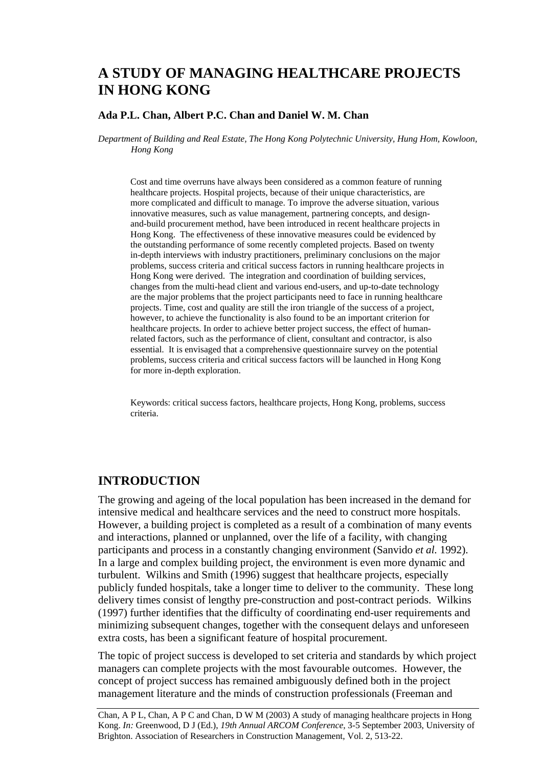# **A STUDY OF MANAGING HEALTHCARE PROJECTS IN HONG KONG**

#### **Ada P.L. Chan, Albert P.C. Chan and Daniel W. M. Chan**

*Department of Building and Real Estate, The Hong Kong Polytechnic University, Hung Hom, Kowloon, Hong Kong* 

Cost and time overruns have always been considered as a common feature of running healthcare projects. Hospital projects, because of their unique characteristics, are more complicated and difficult to manage. To improve the adverse situation, various innovative measures, such as value management, partnering concepts, and designand-build procurement method, have been introduced in recent healthcare projects in Hong Kong. The effectiveness of these innovative measures could be evidenced by the outstanding performance of some recently completed projects. Based on twenty in-depth interviews with industry practitioners, preliminary conclusions on the major problems, success criteria and critical success factors in running healthcare projects in Hong Kong were derived. The integration and coordination of building services, changes from the multi-head client and various end-users, and up-to-date technology are the major problems that the project participants need to face in running healthcare projects. Time, cost and quality are still the iron triangle of the success of a project, however, to achieve the functionality is also found to be an important criterion for healthcare projects. In order to achieve better project success, the effect of humanrelated factors, such as the performance of client, consultant and contractor, is also essential. It is envisaged that a comprehensive questionnaire survey on the potential problems, success criteria and critical success factors will be launched in Hong Kong for more in-depth exploration.

Keywords: critical success factors, healthcare projects, Hong Kong, problems, success criteria.

### **INTRODUCTION**

The growing and ageing of the local population has been increased in the demand for intensive medical and healthcare services and the need to construct more hospitals. However, a building project is completed as a result of a combination of many events and interactions, planned or unplanned, over the life of a facility, with changing participants and process in a constantly changing environment (Sanvido *et al.* 1992). In a large and complex building project, the environment is even more dynamic and turbulent. Wilkins and Smith (1996) suggest that healthcare projects, especially publicly funded hospitals, take a longer time to deliver to the community. These long delivery times consist of lengthy pre-construction and post-contract periods. Wilkins (1997) further identifies that the difficulty of coordinating end-user requirements and minimizing subsequent changes, together with the consequent delays and unforeseen extra costs, has been a significant feature of hospital procurement.

The topic of project success is developed to set criteria and standards by which project managers can complete projects with the most favourable outcomes. However, the concept of project success has remained ambiguously defined both in the project management literature and the minds of construction professionals (Freeman and

Chan, A P L, Chan, A P C and Chan, D W M (2003) A study of managing healthcare projects in Hong Kong. *In:* Greenwood, D J (Ed.), *19th Annual ARCOM Conference*, 3-5 September 2003, University of Brighton. Association of Researchers in Construction Management, Vol. 2, 513-22.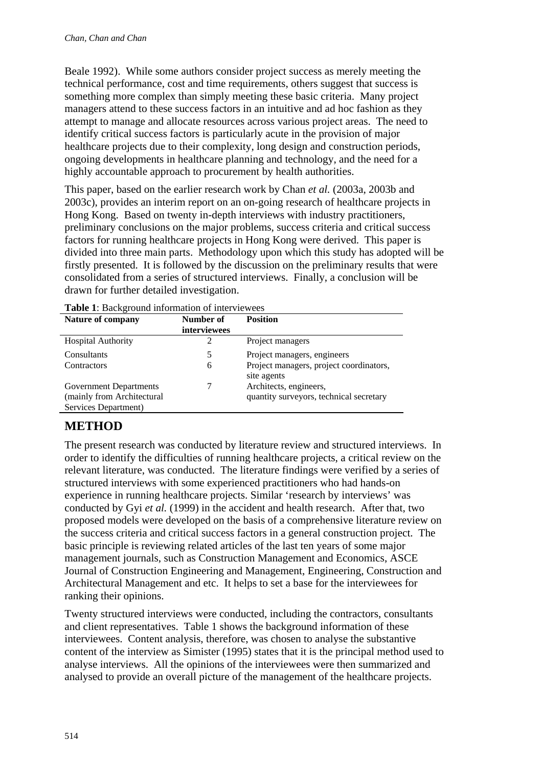Beale 1992). While some authors consider project success as merely meeting the technical performance, cost and time requirements, others suggest that success is something more complex than simply meeting these basic criteria. Many project managers attend to these success factors in an intuitive and ad hoc fashion as they attempt to manage and allocate resources across various project areas. The need to identify critical success factors is particularly acute in the provision of major healthcare projects due to their complexity, long design and construction periods, ongoing developments in healthcare planning and technology, and the need for a highly accountable approach to procurement by health authorities.

This paper, based on the earlier research work by Chan *et al.* (2003a, 2003b and 2003c), provides an interim report on an on-going research of healthcare projects in Hong Kong. Based on twenty in-depth interviews with industry practitioners, preliminary conclusions on the major problems, success criteria and critical success factors for running healthcare projects in Hong Kong were derived. This paper is divided into three main parts. Methodology upon which this study has adopted will be firstly presented. It is followed by the discussion on the preliminary results that were consolidated from a series of structured interviews. Finally, a conclusion will be drawn for further detailed investigation.

| <b>Table 1.</b> Daviservand information of mich viewees<br><b>Nature of company</b> | Number of<br>interviewees | <b>Position</b>                                        |
|-------------------------------------------------------------------------------------|---------------------------|--------------------------------------------------------|
| <b>Hospital Authority</b>                                                           |                           | Project managers                                       |
| Consultants                                                                         | 5                         | Project managers, engineers                            |
| Contractors                                                                         | 6                         | Project managers, project coordinators,<br>site agents |
| Government Departments                                                              |                           | Architects, engineers,                                 |
| (mainly from Architectural                                                          |                           | quantity surveyors, technical secretary                |
| Services Department)                                                                |                           |                                                        |

**Table 1**: Background information of interviewees

# **METHOD**

The present research was conducted by literature review and structured interviews. In order to identify the difficulties of running healthcare projects, a critical review on the relevant literature, was conducted. The literature findings were verified by a series of structured interviews with some experienced practitioners who had hands-on experience in running healthcare projects. Similar 'research by interviews' was conducted by Gyi *et al.* (1999) in the accident and health research. After that, two proposed models were developed on the basis of a comprehensive literature review on the success criteria and critical success factors in a general construction project. The basic principle is reviewing related articles of the last ten years of some major management journals, such as Construction Management and Economics, ASCE Journal of Construction Engineering and Management, Engineering, Construction and Architectural Management and etc. It helps to set a base for the interviewees for ranking their opinions.

Twenty structured interviews were conducted, including the contractors, consultants and client representatives. Table 1 shows the background information of these interviewees. Content analysis, therefore, was chosen to analyse the substantive content of the interview as Simister (1995) states that it is the principal method used to analyse interviews. All the opinions of the interviewees were then summarized and analysed to provide an overall picture of the management of the healthcare projects.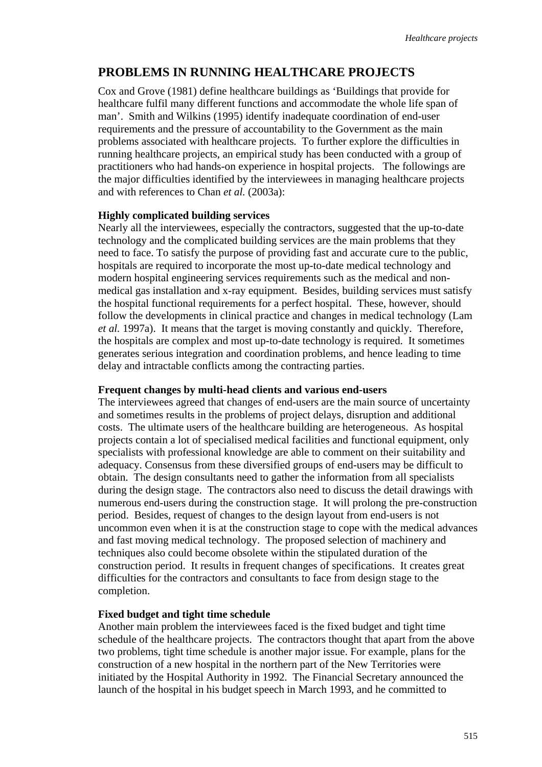## **PROBLEMS IN RUNNING HEALTHCARE PROJECTS**

Cox and Grove (1981) define healthcare buildings as 'Buildings that provide for healthcare fulfil many different functions and accommodate the whole life span of man'. Smith and Wilkins (1995) identify inadequate coordination of end-user requirements and the pressure of accountability to the Government as the main problems associated with healthcare projects. To further explore the difficulties in running healthcare projects, an empirical study has been conducted with a group of practitioners who had hands-on experience in hospital projects. The followings are the major difficulties identified by the interviewees in managing healthcare projects and with references to Chan *et al.* (2003a):

### **Highly complicated building services**

Nearly all the interviewees, especially the contractors, suggested that the up-to-date technology and the complicated building services are the main problems that they need to face. To satisfy the purpose of providing fast and accurate cure to the public, hospitals are required to incorporate the most up-to-date medical technology and modern hospital engineering services requirements such as the medical and nonmedical gas installation and x-ray equipment. Besides, building services must satisfy the hospital functional requirements for a perfect hospital. These, however, should follow the developments in clinical practice and changes in medical technology (Lam *et al.* 1997a). It means that the target is moving constantly and quickly. Therefore, the hospitals are complex and most up-to-date technology is required. It sometimes generates serious integration and coordination problems, and hence leading to time delay and intractable conflicts among the contracting parties.

#### **Frequent changes by multi-head clients and various end-users**

The interviewees agreed that changes of end-users are the main source of uncertainty and sometimes results in the problems of project delays, disruption and additional costs. The ultimate users of the healthcare building are heterogeneous. As hospital projects contain a lot of specialised medical facilities and functional equipment, only specialists with professional knowledge are able to comment on their suitability and adequacy. Consensus from these diversified groups of end-users may be difficult to obtain. The design consultants need to gather the information from all specialists during the design stage. The contractors also need to discuss the detail drawings with numerous end-users during the construction stage. It will prolong the pre-construction period. Besides, request of changes to the design layout from end-users is not uncommon even when it is at the construction stage to cope with the medical advances and fast moving medical technology. The proposed selection of machinery and techniques also could become obsolete within the stipulated duration of the construction period. It results in frequent changes of specifications. It creates great difficulties for the contractors and consultants to face from design stage to the completion.

### **Fixed budget and tight time schedule**

Another main problem the interviewees faced is the fixed budget and tight time schedule of the healthcare projects. The contractors thought that apart from the above two problems, tight time schedule is another major issue. For example, plans for the construction of a new hospital in the northern part of the New Territories were initiated by the Hospital Authority in 1992. The Financial Secretary announced the launch of the hospital in his budget speech in March 1993, and he committed to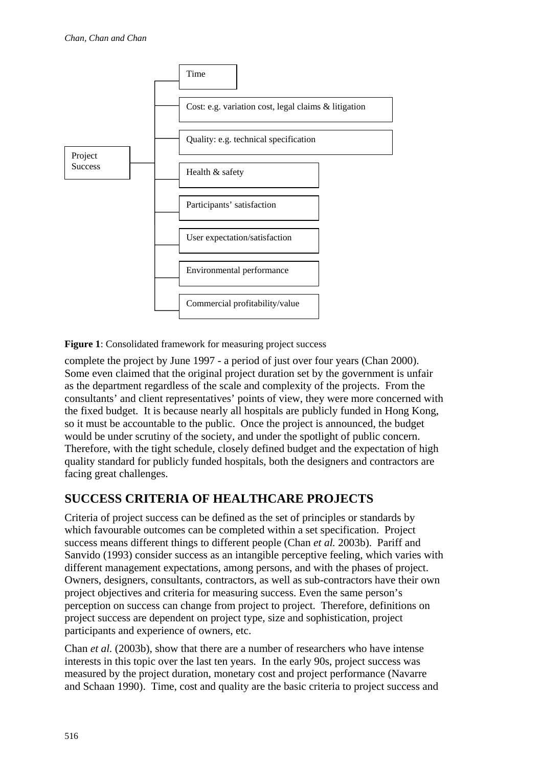

**Figure 1**: Consolidated framework for measuring project success

complete the project by June 1997 - a period of just over four years (Chan 2000). Some even claimed that the original project duration set by the government is unfair as the department regardless of the scale and complexity of the projects. From the consultants' and client representatives' points of view, they were more concerned with the fixed budget. It is because nearly all hospitals are publicly funded in Hong Kong, so it must be accountable to the public. Once the project is announced, the budget would be under scrutiny of the society, and under the spotlight of public concern. Therefore, with the tight schedule, closely defined budget and the expectation of high quality standard for publicly funded hospitals, both the designers and contractors are facing great challenges.

## **SUCCESS CRITERIA OF HEALTHCARE PROJECTS**

Criteria of project success can be defined as the set of principles or standards by which favourable outcomes can be completed within a set specification. Project success means different things to different people (Chan *et al.* 2003b). Pariff and Sanvido (1993) consider success as an intangible perceptive feeling, which varies with different management expectations, among persons, and with the phases of project. Owners, designers, consultants, contractors, as well as sub-contractors have their own project objectives and criteria for measuring success. Even the same person's perception on success can change from project to project. Therefore, definitions on project success are dependent on project type, size and sophistication, project participants and experience of owners, etc.

Chan *et al.* (2003b), show that there are a number of researchers who have intense interests in this topic over the last ten years. In the early 90s, project success was measured by the project duration, monetary cost and project performance (Navarre and Schaan 1990). Time, cost and quality are the basic criteria to project success and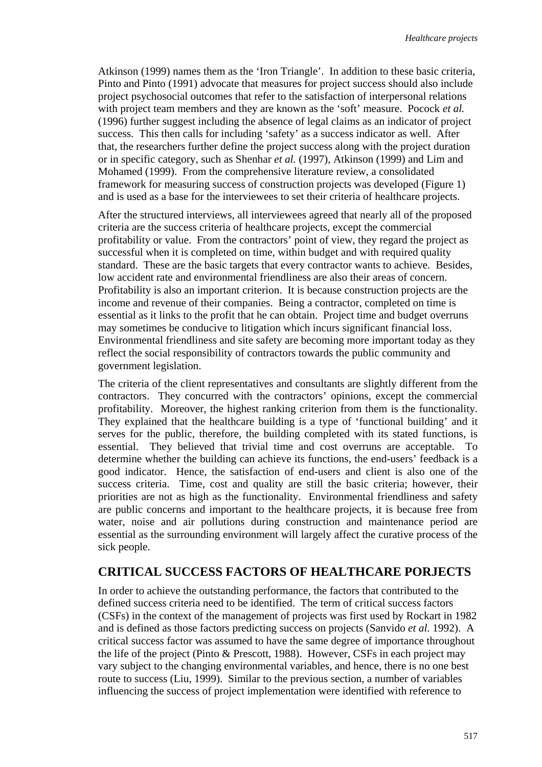Atkinson (1999) names them as the 'Iron Triangle'. In addition to these basic criteria, Pinto and Pinto (1991) advocate that measures for project success should also include project psychosocial outcomes that refer to the satisfaction of interpersonal relations with project team members and they are known as the 'soft' measure. Pocock *et al.*  (1996) further suggest including the absence of legal claims as an indicator of project success. This then calls for including 'safety' as a success indicator as well. After that, the researchers further define the project success along with the project duration or in specific category, such as Shenhar *et al.* (1997), Atkinson (1999) and Lim and Mohamed (1999). From the comprehensive literature review, a consolidated framework for measuring success of construction projects was developed (Figure 1) and is used as a base for the interviewees to set their criteria of healthcare projects.

After the structured interviews, all interviewees agreed that nearly all of the proposed criteria are the success criteria of healthcare projects, except the commercial profitability or value. From the contractors' point of view, they regard the project as successful when it is completed on time, within budget and with required quality standard. These are the basic targets that every contractor wants to achieve. Besides, low accident rate and environmental friendliness are also their areas of concern. Profitability is also an important criterion. It is because construction projects are the income and revenue of their companies. Being a contractor, completed on time is essential as it links to the profit that he can obtain. Project time and budget overruns may sometimes be conducive to litigation which incurs significant financial loss. Environmental friendliness and site safety are becoming more important today as they reflect the social responsibility of contractors towards the public community and government legislation.

The criteria of the client representatives and consultants are slightly different from the contractors. They concurred with the contractors' opinions, except the commercial profitability. Moreover, the highest ranking criterion from them is the functionality. They explained that the healthcare building is a type of 'functional building' and it serves for the public, therefore, the building completed with its stated functions, is essential. They believed that trivial time and cost overruns are acceptable. To determine whether the building can achieve its functions, the end-users' feedback is a good indicator. Hence, the satisfaction of end-users and client is also one of the success criteria. Time, cost and quality are still the basic criteria; however, their priorities are not as high as the functionality. Environmental friendliness and safety are public concerns and important to the healthcare projects, it is because free from water, noise and air pollutions during construction and maintenance period are essential as the surrounding environment will largely affect the curative process of the sick people.

## **CRITICAL SUCCESS FACTORS OF HEALTHCARE PORJECTS**

In order to achieve the outstanding performance, the factors that contributed to the defined success criteria need to be identified. The term of critical success factors (CSFs) in the context of the management of projects was first used by Rockart in 1982 and is defined as those factors predicting success on projects (Sanvido *et al.* 1992). A critical success factor was assumed to have the same degree of importance throughout the life of the project (Pinto & Prescott, 1988). However, CSFs in each project may vary subject to the changing environmental variables, and hence, there is no one best route to success (Liu, 1999). Similar to the previous section, a number of variables influencing the success of project implementation were identified with reference to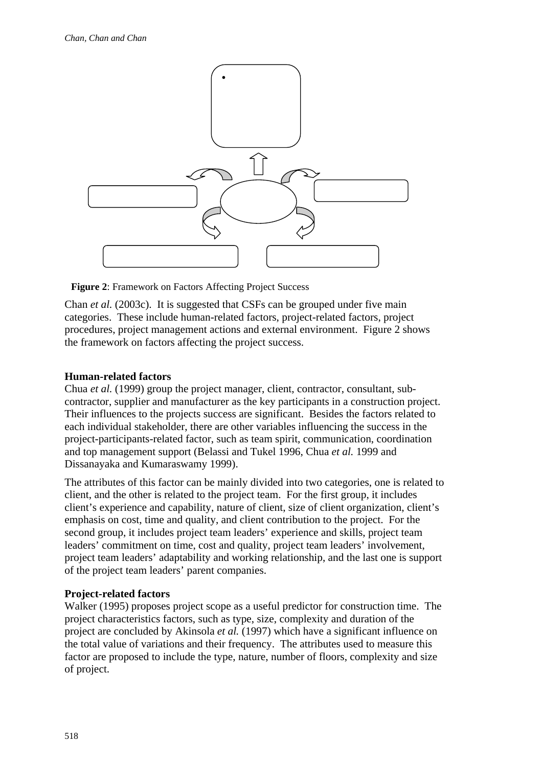

**Figure 2**: Framework on Factors Affecting Project Success

Chan *et al.* (2003c). It is suggested that CSFs can be grouped under five main categories. These include human-related factors, project-related factors, project procedures, project management actions and external environment. Figure 2 shows the framework on factors affecting the project success.

### **Human-related factors**

Chua *et al.* (1999) group the project manager, client, contractor, consultant, subcontractor, supplier and manufacturer as the key participants in a construction project. Their influences to the projects success are significant. Besides the factors related to each individual stakeholder, there are other variables influencing the success in the project-participants-related factor, such as team spirit, communication, coordination and top management support (Belassi and Tukel 1996, Chua *et al.* 1999 and Dissanayaka and Kumaraswamy 1999).

The attributes of this factor can be mainly divided into two categories, one is related to client, and the other is related to the project team. For the first group, it includes client's experience and capability, nature of client, size of client organization, client's emphasis on cost, time and quality, and client contribution to the project. For the second group, it includes project team leaders' experience and skills, project team leaders' commitment on time, cost and quality, project team leaders' involvement, project team leaders' adaptability and working relationship, and the last one is support of the project team leaders' parent companies.

### **Project-related factors**

Walker (1995) proposes project scope as a useful predictor for construction time. The project characteristics factors, such as type, size, complexity and duration of the project are concluded by Akinsola *et al.* (1997) which have a significant influence on the total value of variations and their frequency. The attributes used to measure this factor are proposed to include the type, nature, number of floors, complexity and size of project.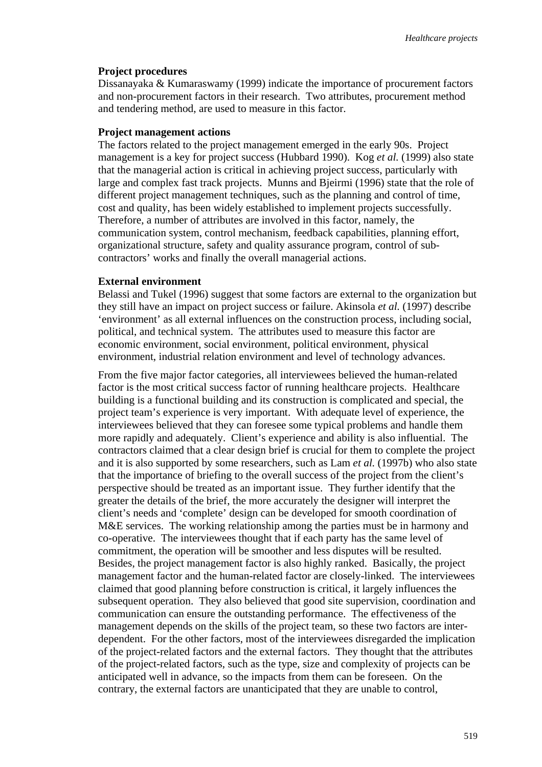#### **Project procedures**

Dissanayaka & Kumaraswamy (1999) indicate the importance of procurement factors and non-procurement factors in their research. Two attributes, procurement method and tendering method, are used to measure in this factor.

#### **Project management actions**

The factors related to the project management emerged in the early 90s. Project management is a key for project success (Hubbard 1990). Kog *et al.* (1999) also state that the managerial action is critical in achieving project success, particularly with large and complex fast track projects. Munns and Bjeirmi (1996) state that the role of different project management techniques, such as the planning and control of time, cost and quality, has been widely established to implement projects successfully. Therefore, a number of attributes are involved in this factor, namely, the communication system, control mechanism, feedback capabilities, planning effort, organizational structure, safety and quality assurance program, control of subcontractors' works and finally the overall managerial actions.

#### **External environment**

Belassi and Tukel (1996) suggest that some factors are external to the organization but they still have an impact on project success or failure. Akinsola *et al.* (1997) describe 'environment' as all external influences on the construction process, including social, political, and technical system. The attributes used to measure this factor are economic environment, social environment, political environment, physical environment, industrial relation environment and level of technology advances.

From the five major factor categories, all interviewees believed the human-related factor is the most critical success factor of running healthcare projects. Healthcare building is a functional building and its construction is complicated and special, the project team's experience is very important. With adequate level of experience, the interviewees believed that they can foresee some typical problems and handle them more rapidly and adequately. Client's experience and ability is also influential. The contractors claimed that a clear design brief is crucial for them to complete the project and it is also supported by some researchers, such as Lam *et al.* (1997b) who also state that the importance of briefing to the overall success of the project from the client's perspective should be treated as an important issue. They further identify that the greater the details of the brief, the more accurately the designer will interpret the client's needs and 'complete' design can be developed for smooth coordination of M&E services. The working relationship among the parties must be in harmony and co-operative. The interviewees thought that if each party has the same level of commitment, the operation will be smoother and less disputes will be resulted. Besides, the project management factor is also highly ranked. Basically, the project management factor and the human-related factor are closely-linked. The interviewees claimed that good planning before construction is critical, it largely influences the subsequent operation. They also believed that good site supervision, coordination and communication can ensure the outstanding performance. The effectiveness of the management depends on the skills of the project team, so these two factors are interdependent. For the other factors, most of the interviewees disregarded the implication of the project-related factors and the external factors. They thought that the attributes of the project-related factors, such as the type, size and complexity of projects can be anticipated well in advance, so the impacts from them can be foreseen. On the contrary, the external factors are unanticipated that they are unable to control,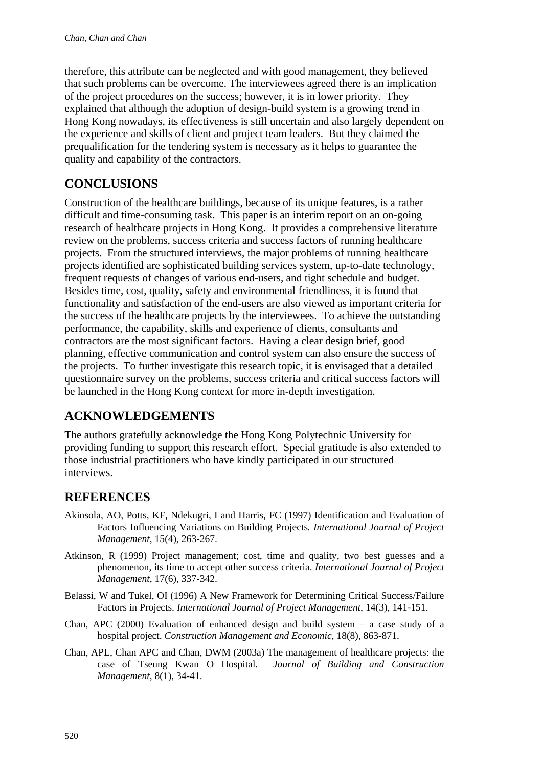therefore, this attribute can be neglected and with good management, they believed that such problems can be overcome. The interviewees agreed there is an implication of the project procedures on the success; however, it is in lower priority. They explained that although the adoption of design-build system is a growing trend in Hong Kong nowadays, its effectiveness is still uncertain and also largely dependent on the experience and skills of client and project team leaders. But they claimed the prequalification for the tendering system is necessary as it helps to guarantee the quality and capability of the contractors.

## **CONCLUSIONS**

Construction of the healthcare buildings, because of its unique features, is a rather difficult and time-consuming task. This paper is an interim report on an on-going research of healthcare projects in Hong Kong. It provides a comprehensive literature review on the problems, success criteria and success factors of running healthcare projects. From the structured interviews, the major problems of running healthcare projects identified are sophisticated building services system, up-to-date technology, frequent requests of changes of various end-users, and tight schedule and budget. Besides time, cost, quality, safety and environmental friendliness, it is found that functionality and satisfaction of the end-users are also viewed as important criteria for the success of the healthcare projects by the interviewees. To achieve the outstanding performance, the capability, skills and experience of clients, consultants and contractors are the most significant factors. Having a clear design brief, good planning, effective communication and control system can also ensure the success of the projects. To further investigate this research topic, it is envisaged that a detailed questionnaire survey on the problems, success criteria and critical success factors will be launched in the Hong Kong context for more in-depth investigation.

# **ACKNOWLEDGEMENTS**

The authors gratefully acknowledge the Hong Kong Polytechnic University for providing funding to support this research effort. Special gratitude is also extended to those industrial practitioners who have kindly participated in our structured interviews.

### **REFERENCES**

- Akinsola, AO, Potts, KF, Ndekugri, I and Harris, FC (1997) Identification and Evaluation of Factors Influencing Variations on Building Projects*. International Journal of Project Management*, 15(4), 263-267.
- Atkinson, R (1999) Project management; cost, time and quality, two best guesses and a phenomenon, its time to accept other success criteria. *International Journal of Project Management*, 17(6), 337-342.
- Belassi, W and Tukel, OI (1996) A New Framework for Determining Critical Success/Failure Factors in Projects. *International Journal of Project Management*, 14(3), 141-151.
- Chan, APC (2000) Evaluation of enhanced design and build system  $-$  a case study of a hospital project. *Construction Management and Economic*, 18(8), 863-871.
- Chan, APL, Chan APC and Chan, DWM (2003a) The management of healthcare projects: the case of Tseung Kwan O Hospital. *Journal of Building and Construction Management*, 8(1), 34-41.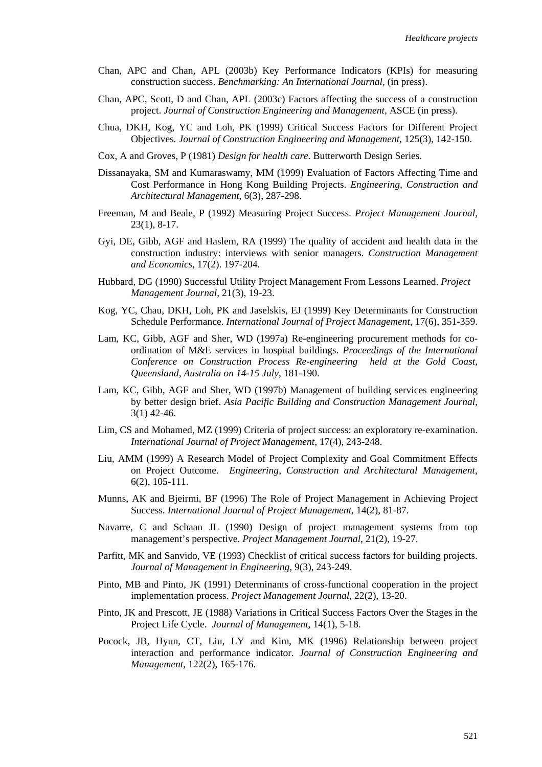- Chan, APC and Chan, APL (2003b) Key Performance Indicators (KPIs) for measuring construction success. *Benchmarking: An International Journal,* (in press).
- Chan, APC, Scott, D and Chan, APL (2003c) Factors affecting the success of a construction project. *Journal of Construction Engineering and Management,* ASCE (in press).
- Chua, DKH, Kog, YC and Loh, PK (1999) Critical Success Factors for Different Project Objectives*. Journal of Construction Engineering and Management*, 125(3), 142-150.
- Cox, A and Groves, P (1981) *Design for health care.* Butterworth Design Series.
- Dissanayaka, SM and Kumaraswamy, MM (1999) Evaluation of Factors Affecting Time and Cost Performance in Hong Kong Building Projects. *Engineering, Construction and Architectural Management*, 6(3), 287-298.
- Freeman, M and Beale, P (1992) Measuring Project Success. *Project Management Journal*, 23(1), 8-17.
- Gyi, DE, Gibb, AGF and Haslem, RA (1999) The quality of accident and health data in the construction industry: interviews with senior managers. *Construction Management and Economics*, 17(2). 197-204.
- Hubbard, DG (1990) Successful Utility Project Management From Lessons Learned. *Project Management Journal*, 21(3), 19-23.
- Kog, YC, Chau, DKH, Loh, PK and Jaselskis, EJ (1999) Key Determinants for Construction Schedule Performance. *International Journal of Project Management*, 17(6), 351-359.
- Lam, KC, Gibb, AGF and Sher, WD (1997a) Re-engineering procurement methods for coordination of M&E services in hospital buildings. *Proceedings of the International Conference on Construction Process Re-engineering held at the Gold Coast, Queensland, Australia on 14-15 July*, 181-190.
- Lam, KC, Gibb, AGF and Sher, WD (1997b) Management of building services engineering by better design brief. *Asia Pacific Building and Construction Management Journal*, 3(1) 42-46.
- Lim, CS and Mohamed, MZ (1999) Criteria of project success: an exploratory re-examination. *International Journal of Project Management,* 17(4), 243-248.
- Liu, AMM (1999) A Research Model of Project Complexity and Goal Commitment Effects on Project Outcome. *Engineering, Construction and Architectural Management*, 6(2), 105-111.
- Munns, AK and Bjeirmi, BF (1996) The Role of Project Management in Achieving Project Success. *International Journal of Project Management,* 14(2), 81-87.
- Navarre, C and Schaan JL (1990) Design of project management systems from top management's perspective. *Project Management Journal*, 21(2), 19-27.
- Parfitt, MK and Sanvido, VE (1993) Checklist of critical success factors for building projects. *Journal of Management in Engineering*, 9(3), 243-249.
- Pinto, MB and Pinto, JK (1991) Determinants of cross-functional cooperation in the project implementation process. *Project Management Journal*, 22(2), 13-20.
- Pinto, JK and Prescott, JE (1988) Variations in Critical Success Factors Over the Stages in the Project Life Cycle. *Journal of Management*, 14(1), 5-18.
- Pocock, JB, Hyun, CT, Liu, LY and Kim, MK (1996) Relationship between project interaction and performance indicator. *Journal of Construction Engineering and Management*, 122(2), 165-176.